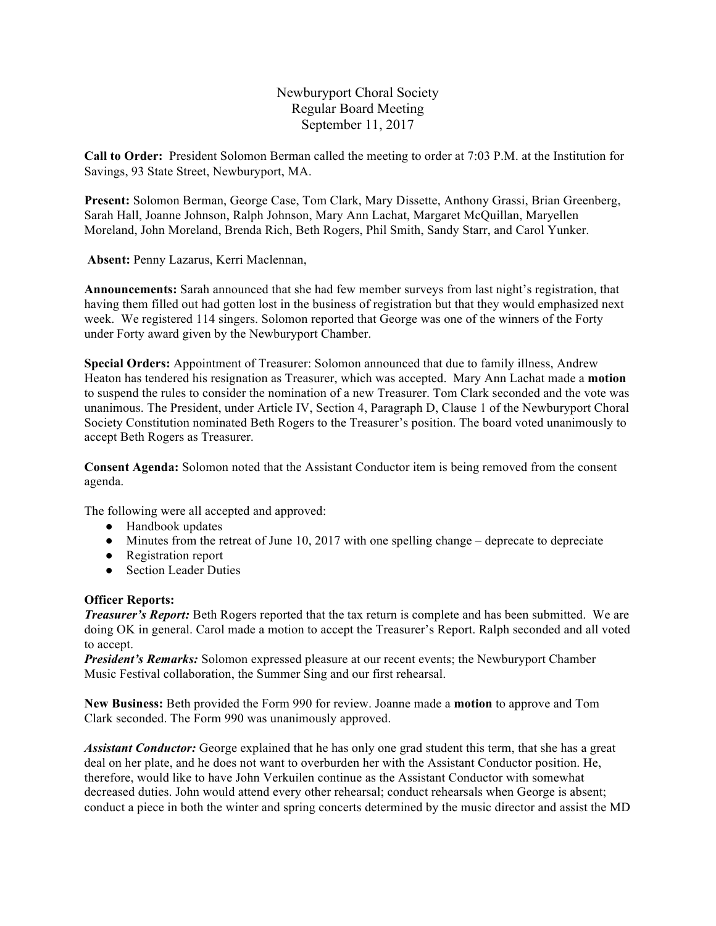Newburyport Choral Society Regular Board Meeting September 11, 2017

**Call to Order:** President Solomon Berman called the meeting to order at 7:03 P.M. at the Institution for Savings, 93 State Street, Newburyport, MA.

**Present:** Solomon Berman, George Case, Tom Clark, Mary Dissette, Anthony Grassi, Brian Greenberg, Sarah Hall, Joanne Johnson, Ralph Johnson, Mary Ann Lachat, Margaret McQuillan, Maryellen Moreland, John Moreland, Brenda Rich, Beth Rogers, Phil Smith, Sandy Starr, and Carol Yunker.

**Absent:** Penny Lazarus, Kerri Maclennan,

**Announcements:** Sarah announced that she had few member surveys from last night's registration, that having them filled out had gotten lost in the business of registration but that they would emphasized next week. We registered 114 singers. Solomon reported that George was one of the winners of the Forty under Forty award given by the Newburyport Chamber.

**Special Orders:** Appointment of Treasurer: Solomon announced that due to family illness, Andrew Heaton has tendered his resignation as Treasurer, which was accepted. Mary Ann Lachat made a **motion** to suspend the rules to consider the nomination of a new Treasurer. Tom Clark seconded and the vote was unanimous. The President, under Article IV, Section 4, Paragraph D, Clause 1 of the Newburyport Choral Society Constitution nominated Beth Rogers to the Treasurer's position. The board voted unanimously to accept Beth Rogers as Treasurer.

**Consent Agenda:** Solomon noted that the Assistant Conductor item is being removed from the consent agenda.

The following were all accepted and approved:

- Handbook updates
- Minutes from the retreat of June 10, 2017 with one spelling change deprecate to depreciate
- Registration report
- Section Leader Duties

## **Officer Reports:**

*Treasurer's Report:* Beth Rogers reported that the tax return is complete and has been submitted. We are doing OK in general. Carol made a motion to accept the Treasurer's Report. Ralph seconded and all voted to accept.

*President's Remarks:* Solomon expressed pleasure at our recent events; the Newburyport Chamber Music Festival collaboration, the Summer Sing and our first rehearsal.

**New Business:** Beth provided the Form 990 for review. Joanne made a **motion** to approve and Tom Clark seconded. The Form 990 was unanimously approved.

*Assistant Conductor:* George explained that he has only one grad student this term, that she has a great deal on her plate, and he does not want to overburden her with the Assistant Conductor position. He, therefore, would like to have John Verkuilen continue as the Assistant Conductor with somewhat decreased duties. John would attend every other rehearsal; conduct rehearsals when George is absent; conduct a piece in both the winter and spring concerts determined by the music director and assist the MD